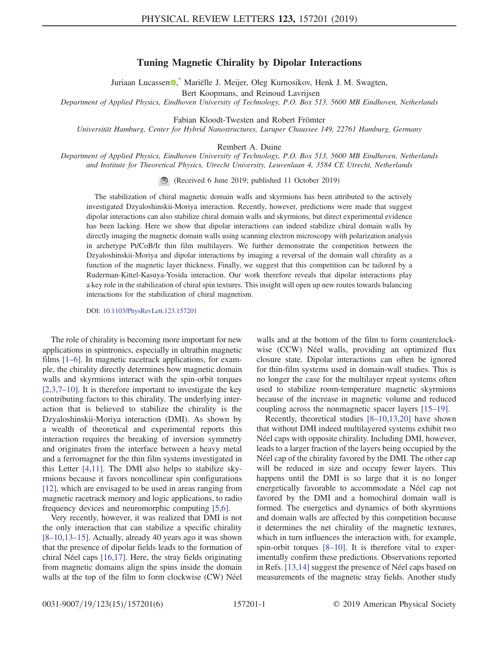## Tuning Magnetic Chirality by Dipolar Interactions

Juriaan Lucassen<sup>®</sup>, Mariëlle J. Meijer, Oleg Kurnosikov, Henk J. M. Swagten,

Bert Koopmans, and Reinoud Lavrijsen

<span id="page-0-0"></span>Department of Applied Physics, Eindhoven University of Technology, P.O. Box 513, 5600 MB Eindhoven, Netherlands

Fabian Kloodt-Twesten and Robert Frömter

Universität Hamburg, Center for Hybrid Nanostructures, Luruper Chaussee 149, 22761 Hamburg, Germany

Rembert A. Duine

Department of Applied Physics, Eindhoven University of Technology, P.O. Box 513, 5600 MB Eindhoven, Netherlands and Institute for Theoretical Physics, Utrecht University, Leuvenlaan 4, 3584 CE Utrecht, Netherlands

(Received 6 June 2019; published 11 October 2019)

The stabilization of chiral magnetic domain walls and skyrmions has been attributed to the actively investigated Dzyaloshinskii-Moriya interaction. Recently, however, predictions were made that suggest dipolar interactions can also stabilize chiral domain walls and skyrmions, but direct experimental evidence has been lacking. Here we show that dipolar interactions can indeed stabilize chiral domain walls by directly imaging the magnetic domain walls using scanning electron microscopy with polarization analysis in archetype Pt/CoB/Ir thin film multilayers. We further demonstrate the competition between the Dzyaloshinskii-Moriya and dipolar interactions by imaging a reversal of the domain wall chirality as a function of the magnetic layer thickness. Finally, we suggest that this competition can be tailored by a Ruderman-Kittel-Kasuya-Yosida interaction. Our work therefore reveals that dipolar interactions play a key role in the stabilization of chiral spin textures. This insight will open up new routes towards balancing interactions for the stabilization of chiral magnetism.

DOI: [10.1103/PhysRevLett.123.157201](https://doi.org/10.1103/PhysRevLett.123.157201)

The role of chirality is becoming more important for new applications in spintronics, especially in ultrathin magnetic films [1–[6\].](#page-4-1) In magnetic racetrack applications, for example, the chirality directly determines how magnetic domain walls and skyrmions interact with the spin-orbit torques [\[2,3,7](#page-4-2)–10]. It is therefore important to investigate the key contributing factors to this chirality. The underlying interaction that is believed to stabilize the chirality is the Dzyaloshinskii-Moriya interaction (DMI). As shown by a wealth of theoretical and experimental reports this interaction requires the breaking of inversion symmetry and originates from the interface between a heavy metal and a ferromagnet for the thin film systems investigated in this Letter [\[4,11\]](#page-4-3). The DMI also helps to stabilize skyrmions because it favors noncollinear spin configurations [\[12\]](#page-4-4), which are envisaged to be used in areas ranging from magnetic racetrack memory and logic applications, to radio frequency devices and neuromorphic computing [\[5,6\]](#page-4-5).

Very recently, however, it was realized that DMI is not the only interaction that can stabilize a specific chirality [8–[10,13](#page-4-6)–15]. Actually, already 40 years ago it was shown that the presence of dipolar fields leads to the formation of chiral Néel caps  $[16,17]$ . Here, the stray fields originating from magnetic domains align the spins inside the domain walls at the top of the film to form clockwise (CW) Néel walls and at the bottom of the film to form counterclockwise (CCW) Néel walls, providing an optimized flux closure state. Dipolar interactions can often be ignored for thin-film systems used in domain-wall studies. This is no longer the case for the multilayer repeat systems often used to stabilize room-temperature magnetic skyrmions because of the increase in magnetic volume and reduced coupling across the nonmagnetic spacer layers [15–[19\].](#page-4-8)

Recently, theoretical studies [8–[10,13,20\]](#page-4-6) have shown that without DMI indeed multilayered systems exhibit two Néel caps with opposite chirality. Including DMI, however, leads to a larger fraction of the layers being occupied by the Néel cap of the chirality favored by the DMI. The other cap will be reduced in size and occupy fewer layers. This happens until the DMI is so large that it is no longer energetically favorable to accommodate a Néel cap not favored by the DMI and a homochiral domain wall is formed. The energetics and dynamics of both skyrmions and domain walls are affected by this competition because it determines the net chirality of the magnetic textures, which in turn influences the interaction with, for example, spin-orbit torques [8–[10\].](#page-4-6) It is therefore vital to experimentally confirm these predictions. Observations reported in Refs. [\[13,14\]](#page-4-9) suggest the presence of Néel caps based on measurements of the magnetic stray fields. Another study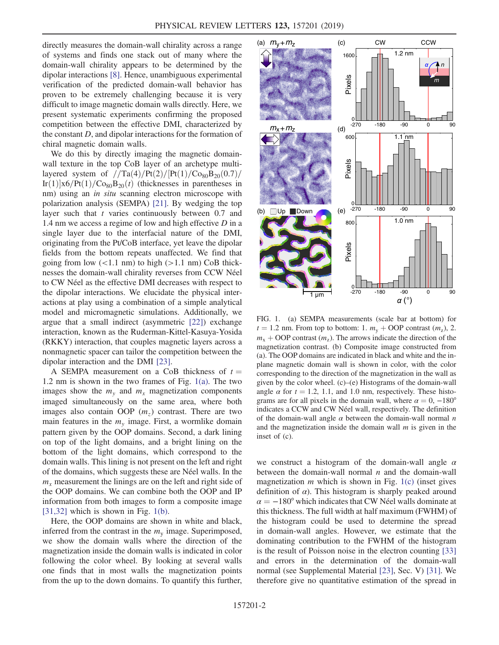directly measures the domain-wall chirality across a range of systems and finds one stack out of many where the domain-wall chirality appears to be determined by the dipolar interactions [\[8\]](#page-4-6). Hence, unambiguous experimental verification of the predicted domain-wall behavior has proven to be extremely challenging because it is very difficult to image magnetic domain walls directly. Here, we present systematic experiments confirming the proposed competition between the effective DMI, characterized by the constant  $D$ , and dipolar interactions for the formation of chiral magnetic domain walls.

We do this by directly imaging the magnetic domainwall texture in the top CoB layer of an archetype multilayered system of  $//Ta(4)/Pt(2)/Pt(1)/Co_{80}B_{20}(0.7)/$  $\text{Ir}(1)|\text{x6/Pt}(1)/\text{Co}_{80}\text{B}_{20}(t)$  (thicknesses in parentheses in nm) using an in situ scanning electron microscope with polarization analysis (SEMPA) [\[21\].](#page-4-10) By wedging the top layer such that  $t$  varies continuously between 0.7 and 1.4 nm we access a regime of low and high effective D in a single layer due to the interfacial nature of the DMI, originating from the Pt/CoB interface, yet leave the dipolar fields from the bottom repeats unaffected. We find that going from low  $(<1.1 \text{ nm})$  to high  $(>1.1 \text{ nm})$  CoB thicknesses the domain-wall chirality reverses from CCW Néel to CW Néel as the effective DMI decreases with respect to the dipolar interactions. We elucidate the physical interactions at play using a combination of a simple analytical model and micromagnetic simulations. Additionally, we argue that a small indirect (asymmetric [\[22\]](#page-4-11)) exchange interaction, known as the Ruderman-Kittel-Kasuya-Yosida (RKKY) interaction, that couples magnetic layers across a nonmagnetic spacer can tailor the competition between the dipolar interaction and the DMI [\[23\]](#page-4-12).

A SEMPA measurement on a CoB thickness of  $t =$ 1.2 nm is shown in the two frames of Fig. [1\(a\)](#page-1-0). The two images show the  $m<sub>y</sub>$  and  $m<sub>x</sub>$  magnetization components imaged simultaneously on the same area, where both images also contain OOP  $(m_z)$  contrast. There are two main features in the  $m<sub>v</sub>$  image. First, a wormlike domain pattern given by the OOP domains. Second, a dark lining on top of the light domains, and a bright lining on the bottom of the light domains, which correspond to the domain walls. This lining is not present on the left and right of the domains, which suggests these are Néel walls. In the  $m<sub>x</sub>$  measurement the linings are on the left and right side of the OOP domains. We can combine both the OOP and IP information from both images to form a composite image  $[31,32]$  which is shown in Fig. [1\(b\).](#page-1-0)

Here, the OOP domains are shown in white and black, inferred from the contrast in the  $m<sub>y</sub>$  image. Superimposed, we show the domain walls where the direction of the magnetization inside the domain walls is indicated in color following the color wheel. By looking at several walls one finds that in most walls the magnetization points from the up to the down domains. To quantify this further,

<span id="page-1-0"></span>

FIG. 1. (a) SEMPA measurements (scale bar at bottom) for  $t = 1.2$  nm. From top to bottom: 1.  $m_v + OOP$  contrast  $(m_z)$ , 2.  $m_x + OOP$  contrast  $(m_7)$ . The arrows indicate the direction of the magnetization contrast. (b) Composite image constructed from (a). The OOP domains are indicated in black and white and the inplane magnetic domain wall is shown in color, with the color corresponding to the direction of the magnetization in the wall as given by the color wheel. (c)–(e) Histograms of the domain-wall angle  $\alpha$  for  $t = 1.2, 1.1$ , and 1.0 nm, respectively. These histograms are for all pixels in the domain wall, where  $\alpha = 0, -180^{\circ}$ indicates a CCW and CW Néel wall, respectively. The definition of the domain-wall angle  $\alpha$  between the domain-wall normal n and the magnetization inside the domain wall  $m$  is given in the inset of (c).

we construct a histogram of the domain-wall angle  $\alpha$ between the domain-wall normal  $n$  and the domain-wall magnetization  $m$  which is shown in Fig. [1\(c\)](#page-1-0) (inset gives definition of  $\alpha$ ). This histogram is sharply peaked around  $\alpha = -180^{\circ}$  which indicates that CW Néel walls dominate at this thickness. The full width at half maximum (FWHM) of the histogram could be used to determine the spread in domain-wall angles. However, we estimate that the dominating contribution to the FWHM of the histogram is the result of Poisson noise in the electron counting [\[33\]](#page-5-1) and errors in the determination of the domain-wall normal (see Supplemental Material [\[23\],](#page-4-12) Sec. V) [\[31\].](#page-5-0) We therefore give no quantitative estimation of the spread in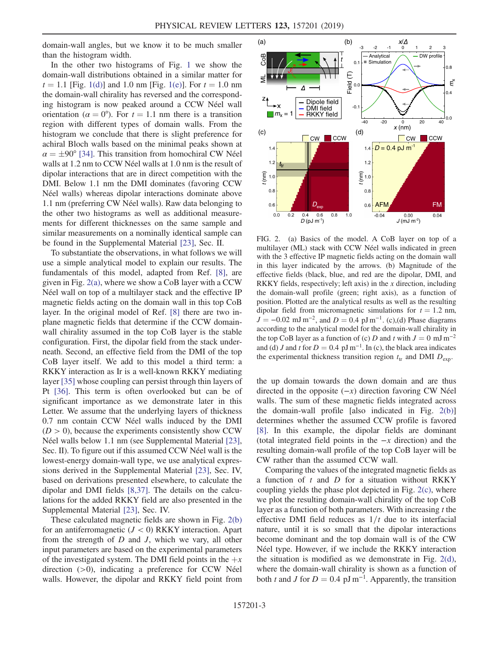domain-wall angles, but we know it to be much smaller than the histogram width.

In the other two histograms of Fig. [1](#page-1-0) we show the domain-wall distributions obtained in a similar matter for  $t = 1.1$  [Fig. [1\(d\)\]](#page-1-0) and 1.0 nm [Fig. [1\(e\)](#page-1-0)]. For  $t = 1.0$  nm the domain-wall chirality has reversed and the corresponding histogram is now peaked around a CCW Néel wall orientation ( $\alpha = 0^{\circ}$ ). For  $t = 1.1$  nm there is a transition region with different types of domain walls. From the histogram we conclude that there is slight preference for achiral Bloch walls based on the minimal peaks shown at  $\alpha = \pm 90^{\circ}$  [\[34\]](#page-5-2). This transition from homochiral CW Néel walls at 1.2 nm to CCW Néel walls at 1.0 nm is the result of dipolar interactions that are in direct competition with the DMI. Below 1.1 nm the DMI dominates (favoring CCW Néel walls) whereas dipolar interactions dominate above 1.1 nm (preferring CW Néel walls). Raw data belonging to the other two histograms as well as additional measurements for different thicknesses on the same sample and similar measurements on a nominally identical sample can be found in the Supplemental Material [\[23\]](#page-4-12), Sec. II.

To substantiate the observations, in what follows we will use a simple analytical model to explain our results. The fundamentals of this model, adapted from Ref. [\[8\],](#page-4-6) are given in Fig. [2\(a\)](#page-2-0), where we show a CoB layer with a CCW Néel wall on top of a multilayer stack and the effective IP magnetic fields acting on the domain wall in this top CoB layer. In the original model of Ref. [\[8\]](#page-4-6) there are two inplane magnetic fields that determine if the CCW domainwall chirality assumed in the top CoB layer is the stable configuration. First, the dipolar field from the stack underneath. Second, an effective field from the DMI of the top CoB layer itself. We add to this model a third term: a RKKY interaction as Ir is a well-known RKKY mediating layer [\[35\]](#page-5-3) whose coupling can persist through thin layers of Pt [\[36\].](#page-5-4) This term is often overlooked but can be of significant importance as we demonstrate later in this Letter. We assume that the underlying layers of thickness 0.7 nm contain CCW Néel walls induced by the DMI  $(D > 0)$ , because the experiments consistently show CCW Néel walls below 1.1 nm (see Supplemental Material [\[23\]](#page-4-12), Sec. II). To figure out if this assumed CCW Néel wall is the lowest-energy domain-wall type, we use analytical expressions derived in the Supplemental Material [\[23\],](#page-4-12) Sec. IV, based on derivations presented elsewhere, to calculate the dipolar and DMI fields [\[8,37\].](#page-4-6) The details on the calculations for the added RKKY field are also presented in the Supplemental Material [\[23\],](#page-4-12) Sec. IV.

These calculated magnetic fields are shown in Fig. [2\(b\)](#page-2-0) for an antiferromagnetic  $(J < 0)$  RKKY interaction. Apart from the strength of  $D$  and  $J$ , which we vary, all other input parameters are based on the experimental parameters of the investigated system. The DMI field points in the  $+x$ direction  $(>0)$ , indicating a preference for CCW Néel walls. However, the dipolar and RKKY field point from

<span id="page-2-0"></span>

FIG. 2. (a) Basics of the model. A CoB layer on top of a multilayer (ML) stack with CCW Néel walls indicated in green with the 3 effective IP magnetic fields acting on the domain wall in this layer indicated by the arrows. (b) Magnitude of the effective fields (black, blue, and red are the dipolar, DMI, and RKKY fields, respectively; left axis) in the x direction, including the domain-wall profile (green; right axis), as a function of position. Plotted are the analytical results as well as the resulting dipolar field from micromagnetic simulations for  $t = 1.2$  nm,  $J = -0.02$  mJ m<sup>-2</sup>, and  $D = 0.4$  pJ m<sup>-1</sup>. (c),(d) Phase diagrams according to the analytical model for the domain-wall chirality in the top CoB layer as a function of (c) D and t with  $J = 0$  mJ m<sup>-2</sup> and (d) J and t for  $D = 0.4$  pJ m<sup>-1</sup>. In (c), the black area indicates the experimental thickness transition region  $t_{tr}$  and DMI  $D_{exp}$ .

the up domain towards the down domain and are thus directed in the opposite  $(-x)$  direction favoring CW Néel walls. The sum of these magnetic fields integrated across the domain-wall profile [also indicated in Fig. [2\(b\)\]](#page-2-0) determines whether the assumed CCW profile is favored [\[8\]](#page-4-6). In this example, the dipolar fields are dominant (total integrated field points in the  $-x$  direction) and the resulting domain-wall profile of the top CoB layer will be CW rather than the assumed CCW wall.

Comparing the values of the integrated magnetic fields as a function of  $t$  and  $D$  for a situation without RKKY coupling yields the phase plot depicted in Fig. [2\(c\)](#page-2-0), where we plot the resulting domain-wall chirality of the top CoB layer as a function of both parameters. With increasing  $t$  the effective DMI field reduces as  $1/t$  due to its interfacial nature, until it is so small that the dipolar interactions become dominant and the top domain wall is of the CW Néel type. However, if we include the RKKY interaction the situation is modified as we demonstrate in Fig. [2\(d\)](#page-2-0), where the domain-wall chirality is shown as a function of both t and J for  $D = 0.4$  pJ m<sup>-1</sup>. Apparently, the transition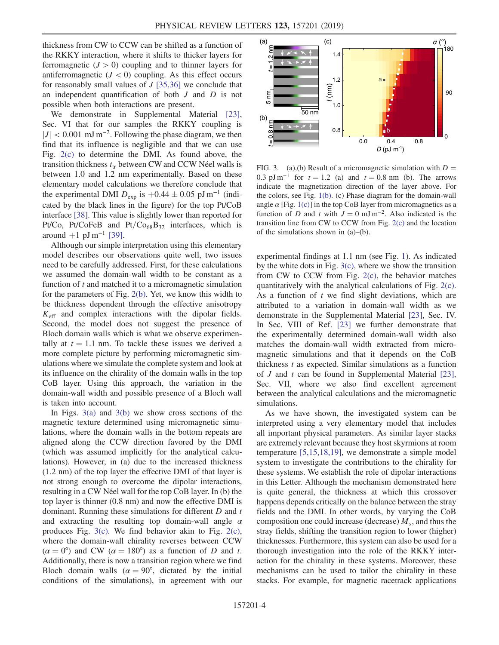thickness from CW to CCW can be shifted as a function of the RKKY interaction, where it shifts to thicker layers for ferromagnetic  $(J > 0)$  coupling and to thinner layers for antiferromagnetic  $(J < 0)$  coupling. As this effect occurs for reasonably small values of  $J$  [\[35,36\]](#page-5-3) we conclude that an independent quantification of both  $J$  and  $D$  is not possible when both interactions are present.

We demonstrate in Supplemental Material [\[23\]](#page-4-12), Sec. VI that for our samples the RKKY coupling is  $|J|$  < 0.001 mJ m<sup>-2</sup>. Following the phase diagram, we then find that its influence is negligible and that we can use Fig. [2\(c\)](#page-2-0) to determine the DMI. As found above, the transition thickness  $t_{tr}$  between CW and CCW Néel walls is between 1.0 and 1.2 nm experimentally. Based on these elementary model calculations we therefore conclude that the experimental DMI  $D_{\text{exp}}$  is  $+0.44 \pm 0.05$  pJ m<sup>-1</sup> (indicated by the black lines in the figure) for the top Pt/CoB interface [\[38\].](#page-5-5) This value is slightly lower than reported for Pt/Co, Pt/CoFeB and Pt/Co<sub>68</sub>B<sub>32</sub> interfaces, which is around +1 pJ m<sup>-1</sup> [\[39\].](#page-5-6)

Although our simple interpretation using this elementary model describes our observations quite well, two issues need to be carefully addressed. First, for these calculations we assumed the domain-wall width to be constant as a function of  $t$  and matched it to a micromagnetic simulation for the parameters of Fig. [2\(b\).](#page-2-0) Yet, we know this width to be thickness dependent through the effective anisotropy  $K<sub>eff</sub>$  and complex interactions with the dipolar fields. Second, the model does not suggest the presence of Bloch domain walls which is what we observe experimentally at  $t = 1.1$  nm. To tackle these issues we derived a more complete picture by performing micromagnetic simulations where we simulate the complete system and look at its influence on the chirality of the domain walls in the top CoB layer. Using this approach, the variation in the domain-wall width and possible presence of a Bloch wall is taken into account.

In Figs.  $3(a)$  and  $3(b)$  we show cross sections of the magnetic texture determined using micromagnetic simulations, where the domain walls in the bottom repeats are aligned along the CCW direction favored by the DMI (which was assumed implicitly for the analytical calculations). However, in (a) due to the increased thickness (1.2 nm) of the top layer the effective DMI of that layer is not strong enough to overcome the dipolar interactions, resulting in a CW Néel wall for the top CoB layer. In (b) the top layer is thinner (0.8 nm) and now the effective DMI is dominant. Running these simulations for different  $D$  and  $t$ and extracting the resulting top domain-wall angle  $\alpha$ produces Fig. [3\(c\)](#page-3-0). We find behavior akin to Fig. [2\(c\)](#page-2-0), where the domain-wall chirality reverses between CCW  $(\alpha = 0^{\circ})$  and CW  $(\alpha = 180^{\circ})$  as a function of D and t. Additionally, there is now a transition region where we find Bloch domain walls ( $\alpha = 90^{\circ}$ , dictated by the initial conditions of the simulations), in agreement with our

<span id="page-3-0"></span>

FIG. 3. (a),(b) Result of a micromagnetic simulation with  $D =$ 0.3 pJ m<sup>-1</sup> for  $t = 1.2$  (a) and  $t = 0.8$  nm (b). The arrows indicate the magnetization direction of the layer above. For the colors, see Fig. [1\(b\).](#page-1-0) (c) Phase diagram for the domain-wall angle  $\alpha$  [Fig. [1\(c\)](#page-1-0)] in the top CoB layer from micromagnetics as a function of D and t with  $J = 0$  mJ m<sup>-2</sup>. Also indicated is the transition line from CW to CCW from Fig. [2\(c\)](#page-2-0) and the location of the simulations shown in (a)–(b).

experimental findings at 1.1 nm (see Fig. [1\)](#page-1-0). As indicated by the white dots in Fig. [3\(c\)](#page-3-0), where we show the transition from CW to CCW from Fig. [2\(c\)](#page-2-0), the behavior matches quantitatively with the analytical calculations of Fig. [2\(c\)](#page-2-0). As a function of  $t$  we find slight deviations, which are attributed to a variation in domain-wall width as we demonstrate in the Supplemental Material [\[23\]](#page-4-12), Sec. IV. In Sec. VIII of Ref. [\[23\]](#page-4-12) we further demonstrate that the experimentally determined domain-wall width also matches the domain-wall width extracted from micromagnetic simulations and that it depends on the CoB thickness  $t$  as expected. Similar simulations as a function of J and t can be found in Supplemental Material [\[23\]](#page-4-12), Sec. VII, where we also find excellent agreement between the analytical calculations and the micromagnetic simulations.

As we have shown, the investigated system can be interpreted using a very elementary model that includes all important physical parameters. As similar layer stacks are extremely relevant because they host skyrmions at room temperature [\[5,15,18,19\]](#page-4-5), we demonstrate a simple model system to investigate the contributions to the chirality for these systems. We establish the role of dipolar interactions in this Letter. Although the mechanism demonstrated here is quite general, the thickness at which this crossover happens depends critically on the balance between the stray fields and the DMI. In other words, by varying the CoB composition one could increase (decrease)  $M_s$ , and thus the stray fields, shifting the transition region to lower (higher) thicknesses. Furthermore, this system can also be used for a thorough investigation into the role of the RKKY interaction for the chirality in these systems. Moreover, these mechanisms can be used to tailor the chirality in these stacks. For example, for magnetic racetrack applications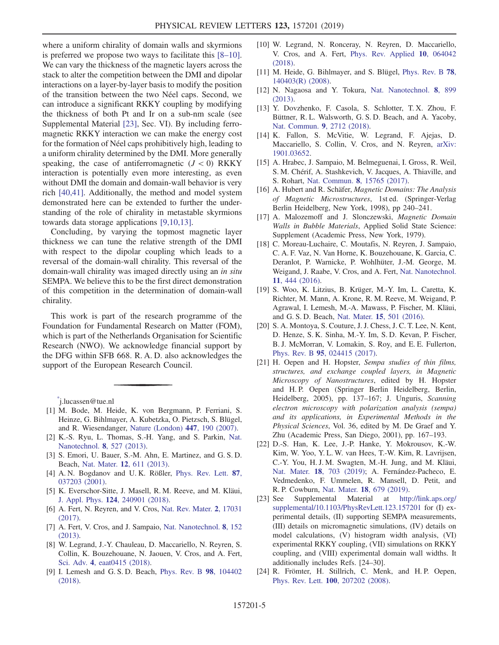where a uniform chirality of domain walls and skyrmions is preferred we propose two ways to facilitate this [8–[10\]](#page-4-6). We can vary the thickness of the magnetic layers across the stack to alter the competition between the DMI and dipolar interactions on a layer-by-layer basis to modify the position of the transition between the two Néel caps. Second, we can introduce a significant RKKY coupling by modifying the thickness of both Pt and Ir on a sub-nm scale (see Supplemental Material [\[23\]](#page-4-12), Sec. VI). By including ferromagnetic RKKY interaction we can make the energy cost for the formation of Néel caps prohibitively high, leading to a uniform chirality determined by the DMI. More generally speaking, the case of antiferromagnetic  $(J < 0)$  RKKY interaction is potentially even more interesting, as even without DMI the domain and domain-wall behavior is very rich [\[40,41\]](#page-5-7). Additionally, the method and model system demonstrated here can be extended to further the understanding of the role of chirality in metastable skyrmions towards data storage applications [\[9,10,13\].](#page-4-13)

Concluding, by varying the topmost magnetic layer thickness we can tune the relative strength of the DMI with respect to the dipolar coupling which leads to a reversal of the domain-wall chirality. This reversal of the domain-wall chirality was imaged directly using an in situ SEMPA. We believe this to be the first direct demonstration of this competition in the determination of domain-wall chirality.

This work is part of the research programme of the Foundation for Fundamental Research on Matter (FOM), which is part of the Netherlands Organisation for Scientific Research (NWO). We acknowledge financial support by the DFG within SFB 668. R. A. D. also acknowledges the support of the European Research Council.

<span id="page-4-0"></span>[\\*](#page-0-0) j.lucassen@tue.nl

- <span id="page-4-1"></span>[1] M. Bode, M. Heide, K. von Bergmann, P. Ferriani, S. Heinze, G. Bihlmayer, A. Kubetzka, O. Pietzsch, S. Blügel, and R. Wiesendanger, [Nature \(London\)](https://doi.org/10.1038/nature05802) 447, 190 (2007).
- <span id="page-4-2"></span>[2] K.-S. Ryu, L. Thomas, S.-H. Yang, and S. Parkin, [Nat.](https://doi.org/10.1038/nnano.2013.102) [Nanotechnol.](https://doi.org/10.1038/nnano.2013.102) 8, 527 (2013).
- <span id="page-4-3"></span>[3] S. Emori, U. Bauer, S.-M. Ahn, E. Martinez, and G. S. D. Beach, Nat. Mater. 12[, 611 \(2013\).](https://doi.org/10.1038/nmat3675)
- <span id="page-4-5"></span>[4] A. N. Bogdanov and U. K. Rößler, [Phys. Rev. Lett.](https://doi.org/10.1103/PhysRevLett.87.037203) 87, [037203 \(2001\).](https://doi.org/10.1103/PhysRevLett.87.037203)
- [5] K. Everschor-Sitte, J. Masell, R. M. Reeve, and M. Kläui, J. Appl. Phys. 124[, 240901 \(2018\).](https://doi.org/10.1063/1.5048972)
- [6] A. Fert, N. Reyren, and V. Cros, [Nat. Rev. Mater.](https://doi.org/10.1038/natrevmats.2017.31) 2, 17031 [\(2017\).](https://doi.org/10.1038/natrevmats.2017.31)
- <span id="page-4-6"></span>[7] A. Fert, V. Cros, and J. Sampaio, [Nat. Nanotechnol.](https://doi.org/10.1038/nnano.2013.29) 8, 152 [\(2013\).](https://doi.org/10.1038/nnano.2013.29)
- [8] W. Legrand, J.-Y. Chauleau, D. Maccariello, N. Reyren, S. Collin, K. Bouzehouane, N. Jaouen, V. Cros, and A. Fert, Sci. Adv. 4[, eaat0415 \(2018\).](https://doi.org/10.1126/sciadv.aat0415)
- <span id="page-4-13"></span>[9] I. Lemesh and G. S. D. Beach, [Phys. Rev. B](https://doi.org/10.1103/PhysRevB.98.104402) 98, 104402 [\(2018\).](https://doi.org/10.1103/PhysRevB.98.104402)
- [10] W. Legrand, N. Ronceray, N. Reyren, D. Maccariello, V. Cros, and A. Fert, [Phys. Rev. Applied](https://doi.org/10.1103/PhysRevApplied.10.064042) 10, 064042 [\(2018\).](https://doi.org/10.1103/PhysRevApplied.10.064042)
- [11] M. Heide, G. Bihlmayer, and S. Blügel, [Phys. Rev. B](https://doi.org/10.1103/PhysRevB.78.140403) 78, [140403\(R\) \(2008\)](https://doi.org/10.1103/PhysRevB.78.140403).
- <span id="page-4-4"></span>[12] N. Nagaosa and Y. Tokura, [Nat. Nanotechnol.](https://doi.org/10.1038/nnano.2013.243) 8, 899 [\(2013\).](https://doi.org/10.1038/nnano.2013.243)
- <span id="page-4-9"></span>[13] Y. Dovzhenko, F. Casola, S. Schlotter, T. X. Zhou, F. Büttner, R. L. Walsworth, G. S. D. Beach, and A. Yacoby, [Nat. Commun.](https://doi.org/10.1038/s41467-018-05158-9) 9, 2712 (2018).
- [14] K. Fallon, S. McVitie, W. Legrand, F. Ajejas, D. Maccariello, S. Collin, V. Cros, and N. Reyren, [arXiv:](http://arXiv.org/abs/1901.03652) [1901.03652.](http://arXiv.org/abs/1901.03652)
- <span id="page-4-8"></span>[15] A. Hrabec, J. Sampaio, M. Belmeguenai, I. Gross, R. Weil, S. M. Chérif, A. Stashkevich, V. Jacques, A. Thiaville, and S. Rohart, Nat. Commun. 8[, 15765 \(2017\)](https://doi.org/10.1038/ncomms15765).
- <span id="page-4-7"></span>[16] A. Hubert and R. Schäfer, Magnetic Domains: The Analysis of Magnetic Microstructures, 1st ed. (Springer-Verlag Berlin Heidelberg, New York, 1998), pp 240–241.
- [17] A. Malozemoff and J. Slonczewski, Magnetic Domain Walls in Bubble Materials, Applied Solid State Science: Supplement (Academic Press, New York, 1979).
- [18] C. Moreau-Luchaire, C. Moutafis, N. Reyren, J. Sampaio, C. A. F. Vaz, N. Van Horne, K. Bouzehouane, K. Garcia, C. Deranlot, P. Warnicke, P. Wohlhüter, J.-M. George, M. Weigand, J. Raabe, V. Cros, and A. Fert, [Nat. Nanotechnol.](https://doi.org/10.1038/nnano.2015.313) 11[, 444 \(2016\).](https://doi.org/10.1038/nnano.2015.313)
- [19] S. Woo, K. Litzius, B. Krüger, M.-Y. Im, L. Caretta, K. Richter, M. Mann, A. Krone, R. M. Reeve, M. Weigand, P. Agrawal, I. Lemesh, M.-A. Mawass, P. Fischer, M. Kläui, and G. S. D. Beach, Nat. Mater. 15[, 501 \(2016\)](https://doi.org/10.1038/nmat4593).
- [20] S. A. Montoya, S. Couture, J. J. Chess, J. C. T. Lee, N. Kent, D. Henze, S. K. Sinha, M.-Y. Im, S. D. Kevan, P. Fischer, B. J. McMorran, V. Lomakin, S. Roy, and E. E. Fullerton, Phys. Rev. B 95[, 024415 \(2017\).](https://doi.org/10.1103/PhysRevB.95.024415)
- <span id="page-4-10"></span>[21] H. Oepen and H. Hopster, Sempa studies of thin films, structures, and exchange coupled layers, in Magnetic Microscopy of Nanostructures, edited by H. Hopster and H. P. Oepen (Springer Berlin Heidelberg, Berlin, Heidelberg, 2005), pp. 137–167; J. Unguris, Scanning electron microscopy with polarization analysis (sempa) and its applications, in Experimental Methods in the Physical Sciences, Vol. 36, edited by M. De Graef and Y. Zhu (Academic Press, San Diego, 2001), pp. 167–193.
- <span id="page-4-11"></span>[22] D.-S. Han, K. Lee, J.-P. Hanke, Y. Mokrousov, K.-W. Kim, W. Yoo, Y. L. W. van Hees, T.-W. Kim, R. Lavrijsen, C.-Y. You, H. J. M. Swagten, M.-H. Jung, and M. Kläui, Nat. Mater. 18[, 703 \(2019\);](https://doi.org/10.1038/s41563-019-0370-z) A. Fernández-Pacheco, E. Vedmedenko, F. Ummelen, R. Mansell, D. Petit, and R. P. Cowburn, Nat. Mater. 18[, 679 \(2019\).](https://doi.org/10.1038/s41563-019-0386-4)<br>[23] See Supplemental Material at http://
- <span id="page-4-12"></span>Supplemental Material at [http://link.aps.org/](http://link.aps.org/supplemental/10.1103/PhysRevLett.123.157201) [supplemental/10.1103/PhysRevLett.123.157201](http://link.aps.org/supplemental/10.1103/PhysRevLett.123.157201) for (I) experimental details, (II) supporting SEMPA measurements, (III) details on micromagnetic simulations, (IV) details on model calculations, (V) histogram width analysis, (VI) experimental RKKY coupling, (VII) simulations on RKKY coupling, and (VIII) experimental domain wall widths. It additionally includes Refs. [24–30].
- [24] R. Frömter, H. Stillrich, C. Menk, and H.P. Oepen, Phys. Rev. Lett. 100[, 207202 \(2008\).](https://doi.org/10.1103/PhysRevLett.100.207202)